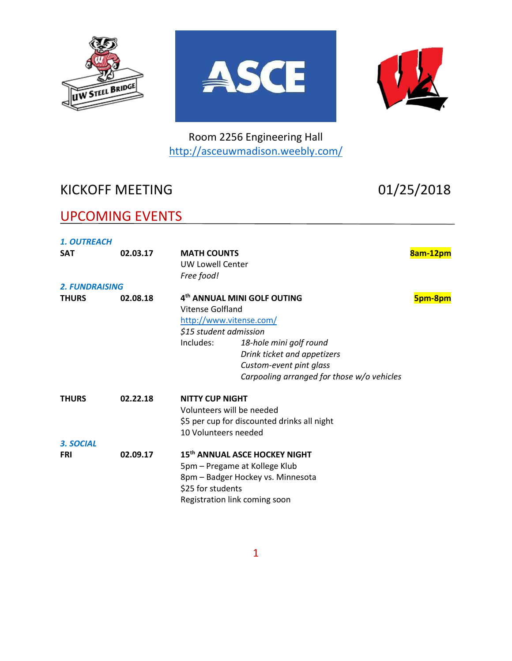





Room 2256 Engineering Hall <http://asceuwmadison.weebly.com/>

# KICKOFF MEETING 01/25/2018

## UPCOMING EVENTS

| <b>1. OUTREACH</b>      |          |                                                                                                                                                                                                                                                                  |          |
|-------------------------|----------|------------------------------------------------------------------------------------------------------------------------------------------------------------------------------------------------------------------------------------------------------------------|----------|
| <b>SAT</b>              | 02.03.17 | <b>MATH COUNTS</b><br><b>UW Lowell Center</b><br>Free food!                                                                                                                                                                                                      | 8am-12pm |
| <b>2. FUNDRAISING</b>   |          |                                                                                                                                                                                                                                                                  |          |
| <b>THURS</b>            | 02.08.18 | 4 <sup>th</sup> ANNUAL MINI GOLF OUTING<br>Vitense Golfland<br>http://www.vitense.com/<br>\$15 student admission<br>Includes:<br>18-hole mini golf round<br>Drink ticket and appetizers<br>Custom-event pint glass<br>Carpooling arranged for those w/o vehicles | 5pm-8pm  |
| <b>THURS</b>            | 02.22.18 | <b>NITTY CUP NIGHT</b><br>Volunteers will be needed<br>\$5 per cup for discounted drinks all night<br>10 Volunteers needed                                                                                                                                       |          |
| 3. SOCIAL<br><b>FRI</b> | 02.09.17 | 15th ANNUAL ASCE HOCKEY NIGHT<br>5pm – Pregame at Kollege Klub<br>8pm - Badger Hockey vs. Minnesota<br>\$25 for students<br>Registration link coming soon                                                                                                        |          |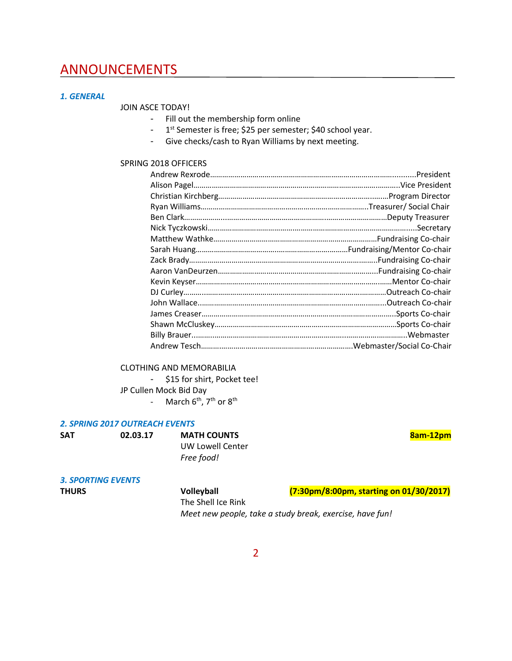## ANNOUNCEMENTS

### *1. GENERAL*

JOIN ASCE TODAY!

- Fill out the membership form online
- 1<sup>st</sup> Semester is free; \$25 per semester; \$40 school year.
- Give checks/cash to Ryan Williams by next meeting.

#### SPRING 2018 OFFICERS

| Mentor Co-chair  |
|------------------|
|                  |
|                  |
|                  |
| .Sports Co-chair |
|                  |
|                  |
|                  |

### CLOTHING AND MEMORABILIA

- \$15 for shirt, Pocket tee! JP Cullen Mock Bid Day
	- March 6<sup>th</sup>, 7<sup>th</sup> or 8<sup>th</sup>

#### *2. SPRING 2017 OUTREACH EVENTS*

| <b>SAT</b> |  |
|------------|--|
|            |  |

**O2.03.17 MATH COUNTS Bam-12pm** UW Lowell Center *Free food!*

*3. SPORTING EVENTS*

| <b>THURS</b> | <b>Volleyball</b>                                        | (7:30pm/8:00pm, starting on 01/30/2017) |
|--------------|----------------------------------------------------------|-----------------------------------------|
|              | The Shell Ice Rink                                       |                                         |
|              | Meet new people, take a study break, exercise, have fun! |                                         |